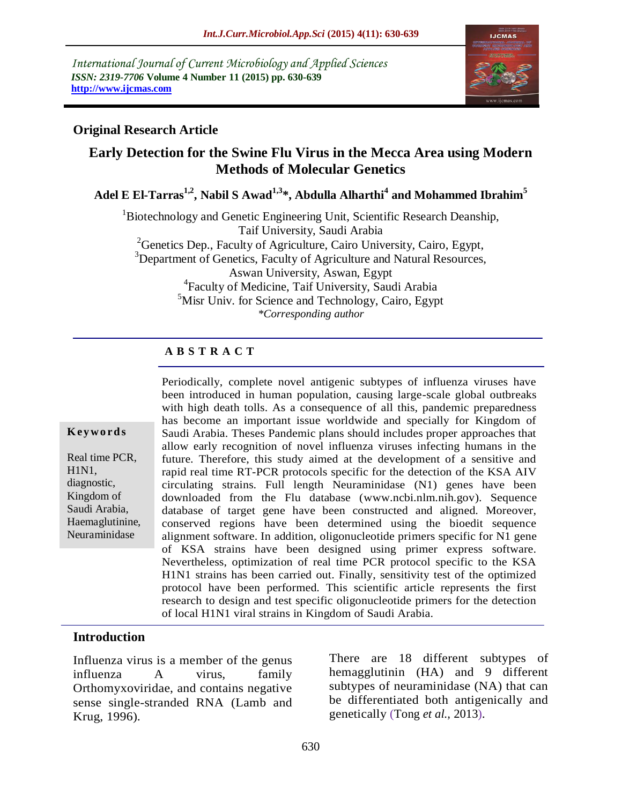*International Journal of Current Microbiology and Applied Sciences ISSN: 2319-7706* **Volume 4 Number 11 (2015) pp. 630-639 http://www.ijcmas.com** 



## **Original Research Article**

# **Early Detection for the Swine Flu Virus in the Mecca Area using Modern Methods of Molecular Genetics**

**Adel E El-Tarras1,2 , Nabil S Awad1,3\*, Abdulla Alharthi<sup>4</sup> and Mohammed Ibrahim<sup>5</sup>**

<sup>1</sup>Biotechnology and Genetic Engineering Unit, Scientific Research Deanship, Taif University, Saudi Arabia

<sup>2</sup> Genetics Dep., Faculty of Agriculture, Cairo University, Cairo, Egypt, <sup>3</sup>Department of Genetics, Faculty of Agriculture and Natural Resources, Aswan University, Aswan, Egypt 4 Faculty of Medicine, Taif University, Saudi Arabia  $5$ Misr Univ. for Science and Technology, Cairo, Egypt *\*Corresponding author*

# **A B S T R A C T**

#### **K ey w o rd s**

Real time PCR, H1N1, diagnostic, Kingdom of Saudi Arabia, Haemaglutinine, Neuraminidase

Periodically, complete novel antigenic subtypes of influenza viruses have been introduced in human population, causing large-scale global outbreaks with high death tolls. As a consequence of all this, pandemic preparedness has become an important issue worldwide and specially for Kingdom of Saudi Arabia. Theses Pandemic plans should includes proper approaches that allow early recognition of novel influenza viruses infecting humans in the future. Therefore, this study aimed at the development of a sensitive and rapid real time RT-PCR protocols specific for the detection of the KSA AIV circulating strains. Full length Neuraminidase (N1) genes have been downloaded from the Flu database [\(www.ncbi.nlm.nih.gov\)](http://www.ncbi.nlm.nih.gov/). Sequence database of target gene have been constructed and aligned. Moreover, conserved regions have been determined using the bioedit sequence alignment software. In addition, oligonucleotide primers specific for N1 gene of KSA strains have been designed using primer express software. Nevertheless, optimization of real time PCR protocol specific to the KSA H1N1 strains has been carried out. Finally, sensitivity test of the optimized protocol have been performed. This scientific article represents the first research to design and test specific oligonucleotide primers for the detection of local H1N1 viral strains in Kingdom of Saudi Arabia.

#### **Introduction**

Influenza virus is a member of the genus influenza A virus, family Orthomyxoviridae, and contains negative sense single-stranded RNA (Lamb and Krug, 1996).

There are 18 different subtypes of hemagglutinin (HA) and 9 different subtypes of neuraminidase (NA) that can be differentiated both antigenically and genetically (Tong *et al.,* 2013).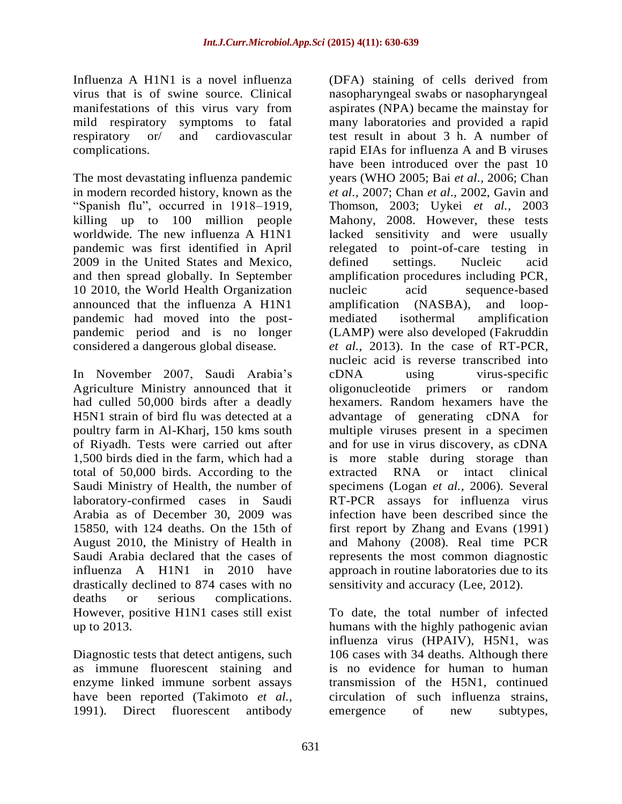Influenza A H1N1 is a novel influenza virus that is of swine source. Clinical manifestations of this virus vary from mild respiratory symptoms to fatal respiratory or/ and cardiovascular complications.

The most devastating influenza pandemic in modern recorded history, known as the "Spanish flu", occurred in 1918–1919, killing up to 100 million people worldwide. The new influenza A H1N1 pandemic was first identified in April 2009 in the United States and Mexico, and then spread globally. In September 10 2010, the World Health Organization announced that the influenza A H1N1 pandemic had moved into the postpandemic period and is no longer considered a dangerous global disease.

In November 2007, Saudi Arabia's Agriculture Ministry announced that it had culled 50,000 birds after a deadly H5N1 strain of bird flu was detected at a poultry farm in Al-Kharj, 150 kms south of Riyadh. Tests were carried out after 1,500 birds died in the farm, which had a total of 50,000 birds. According to the Saudi Ministry of Health, the number of laboratory-confirmed cases in Saudi Arabia as of December 30, 2009 was 15850, with 124 deaths. On the 15th of August 2010, the Ministry of Health in Saudi Arabia declared that the cases of influenza A H1N1 in 2010 have drastically declined to 874 cases with no deaths or serious complications. However, positive H1N1 cases still exist up to 2013.

Diagnostic tests that detect antigens, such as immune fluorescent staining and enzyme linked immune sorbent assays have been reported (Takimoto *et al.,* 1991). Direct fluorescent antibody

(DFA) staining of cells derived from nasopharyngeal swabs or nasopharyngeal aspirates (NPA) became the mainstay for many laboratories and provided a rapid test result in about 3 h. A number of rapid EIAs for influenza A and B viruses have been introduced over the past 10 years (WHO 2005; Bai *et al.,* 2006; Chan *et al.,* 2007; Chan *et al.,* 2002, Gavin and Thomson, 2003; Uykei *et al.,* 2003 Mahony, 2008. However, these tests lacked sensitivity and were usually relegated to point-of-care testing in defined settings. Nucleic acid amplification procedures including PCR, nucleic acid sequence-based amplification (NASBA), and loopmediated isothermal amplification (LAMP) were also developed [\(Fakruddin](http://www.ncbi.nlm.nih.gov/pubmed/?term=Fakruddin%20M%5Bauth%5D) *et al.,* 2013). In the case of RT-PCR, nucleic acid is reverse transcribed into cDNA using virus-specific oligonucleotide primers or random hexamers. Random hexamers have the advantage of generating cDNA for multiple viruses present in a specimen and for use in virus discovery, as cDNA is more stable during storage than extracted RNA or intact clinical specimens (Logan *et al.,* 2006). Several RT-PCR assays for influenza virus infection have been described since the first report by Zhang and Evans (1991) and Mahony (2008). Real time PCR represents the most common diagnostic approach in routine laboratories due to its sensitivity and accuracy (Lee, 2012).

To date, the total number of infected humans with the highly pathogenic avian influenza virus (HPAIV), H5N1, was 106 cases with 34 deaths. Although there is no evidence for human to human transmission of the H5N1, continued circulation of such influenza strains, emergence of new subtypes,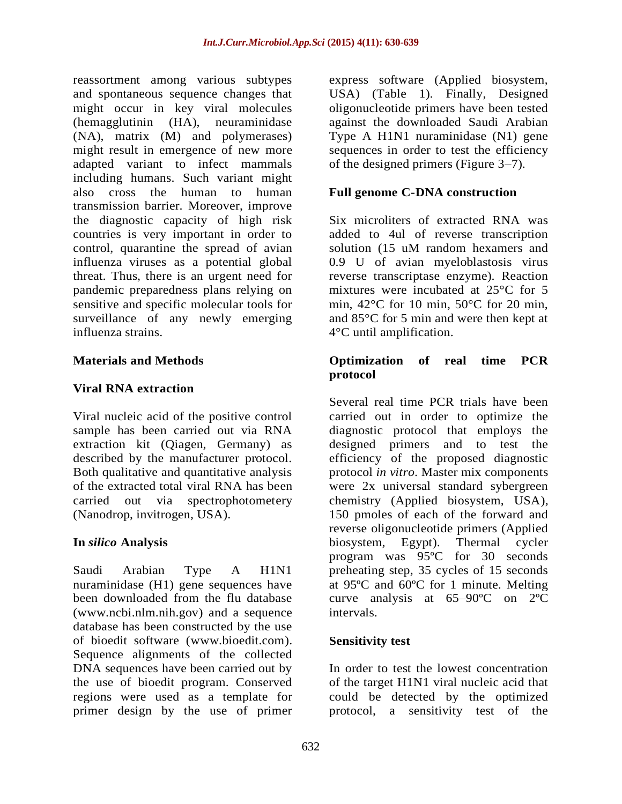reassortment among various subtypes and spontaneous sequence changes that might occur in key viral molecules (hemagglutinin (HA), neuraminidase (NA), matrix (M) and polymerases) might result in emergence of new more adapted variant to infect mammals including humans. Such variant might also cross the human to human transmission barrier. Moreover, improve the diagnostic capacity of high risk countries is very important in order to control, quarantine the spread of avian influenza viruses as a potential global threat. Thus, there is an urgent need for pandemic preparedness plans relying on sensitive and specific molecular tools for surveillance of any newly emerging influenza strains.

## **Materials and Methods**

## **Viral RNA extraction**

Viral nucleic acid of the positive control sample has been carried out via RNA extraction kit (Qiagen, Germany) as described by the manufacturer protocol. Both qualitative and quantitative analysis of the extracted total viral RNA has been carried out via spectrophotometery (Nanodrop, invitrogen, USA).

#### **In** *silico* **Analysis**

Saudi Arabian Type A H1N1 nuraminidase (H1) gene sequences have been downloaded from the flu database [\(www.ncbi.nlm.nih.gov\)](http://www.ncbi.nlm.nih.gov/) and a sequence database has been constructed by the use of bioedit software [\(www.bioedit.com\)](http://www.bioedit.com/). Sequence alignments of the collected DNA sequences have been carried out by the use of bioedit program. Conserved regions were used as a template for primer design by the use of primer

express software (Applied biosystem, USA) (Table 1). Finally, Designed oligonucleotide primers have been tested against the downloaded Saudi Arabian Type A H1N1 nuraminidase (N1) gene sequences in order to test the efficiency of the designed primers (Figure 3–7).

#### **Full genome C-DNA construction**

Six microliters of extracted RNA was added to 4ul of reverse transcription solution (15 uM random hexamers and 0.9 U of avian myeloblastosis virus reverse transcriptase enzyme). Reaction mixtures were incubated at 25°C for 5 min, 42°C for 10 min, 50°C for 20 min, and 85°C for 5 min and were then kept at 4°C until amplification.

#### **Optimization of real time PCR protocol**

Several real time PCR trials have been carried out in order to optimize the diagnostic protocol that employs the designed primers and to test the efficiency of the proposed diagnostic protocol *in vitro*. Master mix components were 2x universal standard sybergreen chemistry (Applied biosystem, USA), 150 pmoles of each of the forward and reverse oligonucleotide primers (Applied biosystem, Egypt). Thermal cycler program was 95ºC for 30 seconds preheating step, 35 cycles of 15 seconds at 95ºC and 60ºC for 1 minute. Melting curve analysis at 65–90ºC on 2ºC intervals.

## **Sensitivity test**

In order to test the lowest concentration of the target H1N1 viral nucleic acid that could be detected by the optimized protocol, a sensitivity test of the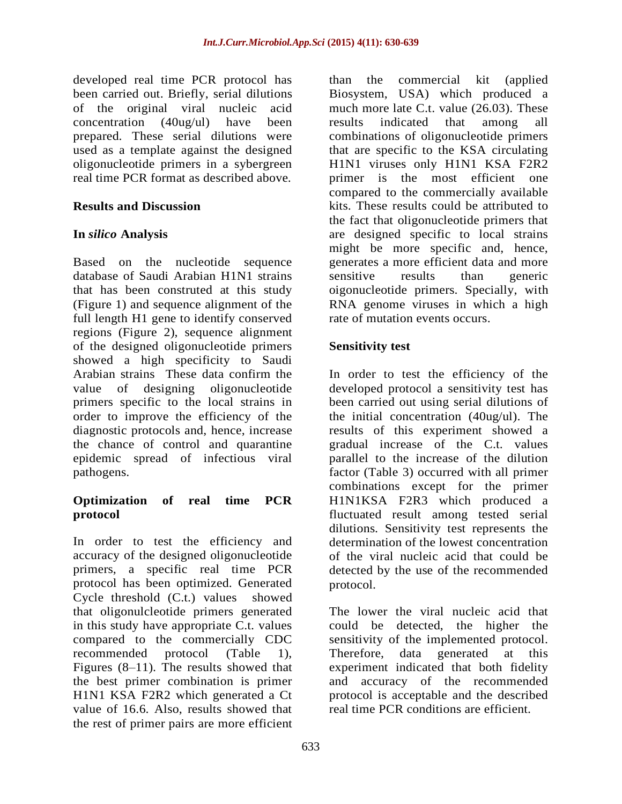developed real time PCR protocol has been carried out. Briefly, serial dilutions of the original viral nucleic acid concentration (40ug/ul) have been prepared. These serial dilutions were used as a template against the designed oligonucleotide primers in a sybergreen real time PCR format as described above.

## **Results and Discussion**

# **In** *silico* **Analysis**

Based on the nucleotide sequence database of Saudi Arabian H1N1 strains that has been construted at this study (Figure 1) and sequence alignment of the full length H1 gene to identify conserved regions (Figure 2), sequence alignment of the designed oligonucleotide primers showed a high specificity to Saudi Arabian strains These data confirm the value of designing oligonucleotide primers specific to the local strains in order to improve the efficiency of the diagnostic protocols and, hence, increase the chance of control and quarantine epidemic spread of infectious viral pathogens.

## **Optimization of real time PCR protocol**

In order to test the efficiency and accuracy of the designed oligonucleotide primers, a specific real time PCR protocol has been optimized. Generated Cycle threshold (C.t.) values showed that oligonulcleotide primers generated in this study have appropriate C.t. values compared to the commercially CDC recommended protocol (Table 1), Figures (8–11). The results showed that the best primer combination is primer H1N1 KSA F2R2 which generated a Ct value of 16.6. Also, results showed that the rest of primer pairs are more efficient

than the commercial kit (applied Biosystem, USA) which produced a much more late C.t. value (26.03). These results indicated that among all combinations of oligonucleotide primers that are specific to the KSA circulating H1N1 viruses only H1N1 KSA F2R2 primer is the most efficient one compared to the commercially available kits. These results could be attributed to the fact that oligonucleotide primers that are designed specific to local strains might be more specific and, hence, generates a more efficient data and more sensitive results than generic oigonucleotide primers. Specially, with RNA genome viruses in which a high rate of mutation events occurs.

## **Sensitivity test**

In order to test the efficiency of the developed protocol a sensitivity test has been carried out using serial dilutions of the initial concentration (40ug/ul). The results of this experiment showed a gradual increase of the C.t. values parallel to the increase of the dilution factor (Table 3) occurred with all primer combinations except for the primer H1N1KSA F2R3 which produced a fluctuated result among tested serial dilutions. Sensitivity test represents the determination of the lowest concentration of the viral nucleic acid that could be detected by the use of the recommended protocol.

The lower the viral nucleic acid that could be detected, the higher the sensitivity of the implemented protocol. Therefore, data generated at this experiment indicated that both fidelity and accuracy of the recommended protocol is acceptable and the described real time PCR conditions are efficient.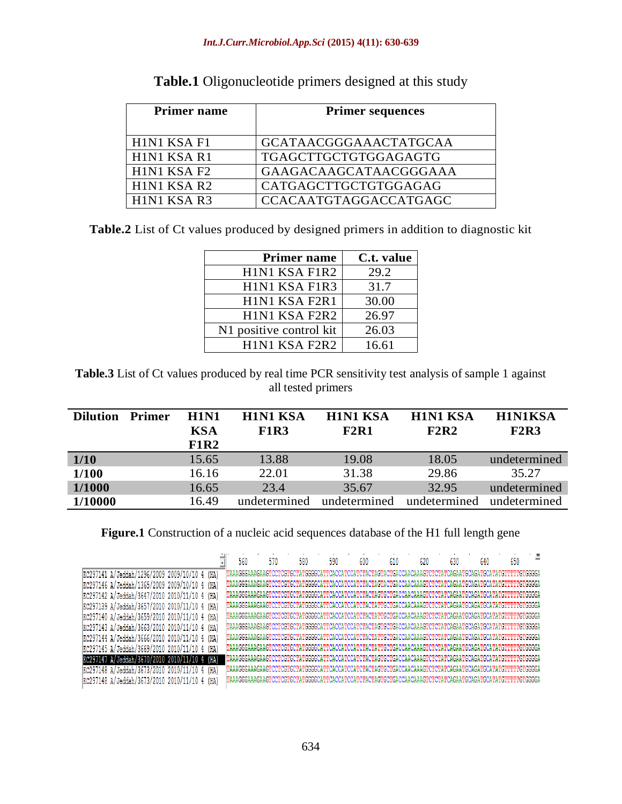| <b>Primer name</b> | <b>Primer sequences</b> |
|--------------------|-------------------------|
|                    |                         |
| H1N1 KSA F1        | GCATAACGGGAAACTATGCAA   |
| H1N1 KSA R1        | TGAGCTTGCTGTGGAGAGTG    |
| H1N1 KSA F2        | GAAGACAAGCATAACGGGAAA   |
| H1N1 KSA R2        | CATGAGCTTGCTGTGGAGAG    |
| H1N1 KSA R3        | CCACAATGTAGGACCATGAGC   |

**Table.1** Oligonucleotide primers designed at this study

**Table.2** List of Ct values produced by designed primers in addition to diagnostic kit

| <b>Primer name</b>                                                           | C.t. value |
|------------------------------------------------------------------------------|------------|
| H1N1 KSA F1R2                                                                | 29.2       |
| H1N1 KSA F1R3                                                                | 31.7       |
| H1N1 KSA F2R1                                                                | 30.00      |
| H <sub>1</sub> N <sub>1</sub> K <sub>S</sub> A F <sub>2</sub> R <sub>2</sub> | 26.97      |
| N1 positive control kit                                                      | 26.03      |
| H1N1 KSA F2R2                                                                | 16.61      |

**Table.3** List of Ct values produced by real time PCR sensitivity test analysis of sample 1 against all tested primers

| <b>Dilution</b> | <b>Primer</b> | <b>H1N1</b><br><b>KSA</b><br><b>F1R2</b> | <b>H1N1 KSA</b><br><b>F1R3</b> | <b>H1N1 KSA</b><br><b>F2R1</b> | <b>H1N1 KSA</b><br><b>F2R2</b> | <b>H1N1KSA</b><br><b>F2R3</b> |
|-----------------|---------------|------------------------------------------|--------------------------------|--------------------------------|--------------------------------|-------------------------------|
| 1/10            |               | 15.65                                    | 13.88                          | 19.08                          | 18.05                          | undetermined                  |
| <b>1/100</b>    |               | 16.16                                    | 22.01                          | 31.38                          | 29.86                          | 35.27                         |
| 1/1000          |               | 16.65                                    | 23.4                           | 35.67                          | 32.95                          | undetermined                  |
| 1/10000         |               | 16.49                                    | undetermined                   | undetermined                   | undetermined                   | undetermined                  |

**Figure.1** Construction of a nucleic acid sequences database of the H1 full length gene

| KC297141 A/Jeddah/1296/2009 2009/10/10 4 |    | (HA) |
|------------------------------------------|----|------|
| KC297146 A/Jeddah/1365/2009 2009/10/10   |    | (HA) |
| KC297142 A/Jeddah/3647/2010 2010/11/10 4 |    | (HA) |
| KC297139 A/Jeddah/3657/2010 2010/11/10 4 |    | (HA) |
| KC297140 A/Jeddah/3659/2010 2010/11/10 4 |    | (HA) |
| KC297143 A/Jeddah/3663/2010 2010/11/10 4 |    | (HA) |
| KC297144 A/Jeddah/3666/2010 2010/11/10   | -4 | (HA) |
| KC297145 A/Jeddah/3669/2010 2010/11/10   |    | (HA) |
| KC297147 A/Jeddah/3670/2010 2010/11/10 4 |    | (HA) |
| KC297148 A/Jeddah/3673/2010 2010/11/10   |    | (HA) |
| KC297148 A/Jeddah/3673/2010 2010/11/10   |    | (HA) |

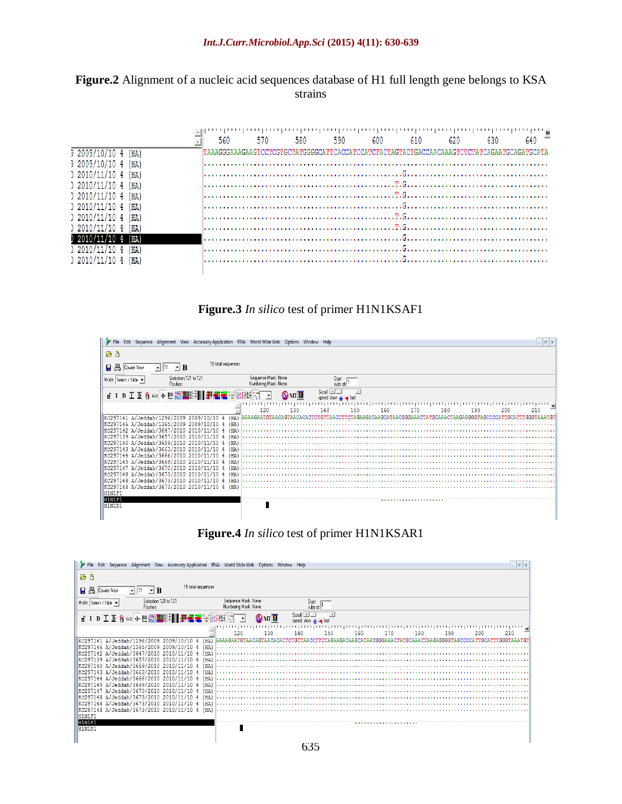

|                        | 560 | տականականնականկանկանկանկանկան<br>570 | 580 | 590 | 600 | 610 | 620 | 630 | 640 |
|------------------------|-----|--------------------------------------|-----|-----|-----|-----|-----|-----|-----|
| (HA                    |     |                                      |     |     |     |     |     |     |     |
| (HA)<br>) 2009/10/10 4 |     |                                      |     |     |     |     |     |     |     |
| ) 2010/11/10 4<br>(HA  |     |                                      |     |     |     |     |     |     |     |
| ) 2010/11/10 4<br>(HA) |     |                                      |     |     |     |     |     |     |     |
| ) 2010/11/10 4<br>(HA) |     |                                      |     |     |     |     |     |     |     |
| ) 2010/11/10 4<br>(HA) |     |                                      |     |     |     |     |     |     |     |
| ) 2010/11/10 4<br>(HA) |     |                                      |     |     |     |     |     |     |     |
| ) 2010/11/10 4<br>(HA  |     |                                      |     |     |     |     |     |     |     |
| (HA                    |     |                                      |     |     |     |     |     |     |     |
| (HA                    |     |                                      |     |     |     |     |     |     |     |
| ) 2010/11/10 4<br>(HA) |     |                                      |     |     |     |     |     |     |     |
|                        |     |                                      |     |     |     |     |     |     |     |

#### **Figure.3** *In silico* test of primer H1N1KSAF1





| File Edit Sequence Alignment View Accessory Application RNA World Wide Web Options Window Help                      |                                                                                                          |                                        |            |            | $ E$ $x$   |
|---------------------------------------------------------------------------------------------------------------------|----------------------------------------------------------------------------------------------------------|----------------------------------------|------------|------------|------------|
| ΘĎ                                                                                                                  |                                                                                                          |                                        |            |            |            |
| 15 total sequences<br>$\mathbf{r}$ R<br>뵴<br>П.<br>Courier New                                                      |                                                                                                          |                                        |            |            |            |
| Selection: 121 to 121<br>Mode: Select / Slide v<br>Position:                                                        | Sequence Mask: None<br>Numbering Mask: None                                                              | $\frac{\text{Start}}{\text{ruler at}}$ |            |            |            |
| ▗▏ <sup></sup> ▎D エ D â ∞ + @ ▒▓▓▒▓▌▌▓▓▓▅▅▓▒▓▒▓▓░▓▓▒▔▔                                                              |                                                                                                          | Scroll $\Box$<br>speed slow in a fast  |            |            |            |
|                                                                                                                     | 130<br>120                                                                                               | 140<br>150                             | 170<br>160 | 180<br>190 | 200<br>210 |
| KC297141 A/Jeddah/1296/2009 2009/10/10 4<br>(HA)<br>KC297146 A/Jeddah/1365/2009 2009/10/10 4 (HA)                   | AAAAGAATGTAACAGTAACACACTCTGTTAACCTTCTAGAAGACAAGCATAACGGGAAACTATGCAAACTAAGAGGGGTAGCCCCATTGCATTTGGGTAAATGT |                                        |            |            |            |
| KC297142 A/Jeddah/3647/2010 2010/11/10 4<br>(HA)                                                                    |                                                                                                          |                                        |            |            |            |
| KC297139 A/Jeddah/3657/2010 2010/11/10 4<br>(H <sub>A</sub> )<br>  KC297140 A/Jeddah/3659/2010 2010/11/10 4<br>(HA) |                                                                                                          |                                        |            |            |            |
| KC297143 A/Jeddah/3663/2010 2010/11/10 4<br>  KC297144 A/Jeddah/3666/2010 2010/11/10 4<br>(HA)                      |                                                                                                          |                                        |            |            |            |
| KC297145 A/Jeddah/3669/2010 2010/11/10<br>   KC297147 A/Jeddah/3670/2010 2010/11/10 4<br>(HA)                       |                                                                                                          |                                        |            |            |            |
| KC297148 A/Jeddah/3673/2010 2010/11/10<br>   KC297148 A/Jeddah/3673/2010 2010/11/10 4<br>(HA)                       |                                                                                                          |                                        |            |            |            |
| KC297148 A/Jeddah/3673/2010 2010/11/10 4<br>(HA)                                                                    |                                                                                                          |                                        |            |            |            |
| H1N1F1<br>H1N1F1                                                                                                    |                                                                                                          |                                        |            |            |            |
| H1N1R1                                                                                                              |                                                                                                          |                                        |            |            |            |
|                                                                                                                     |                                                                                                          |                                        |            |            |            |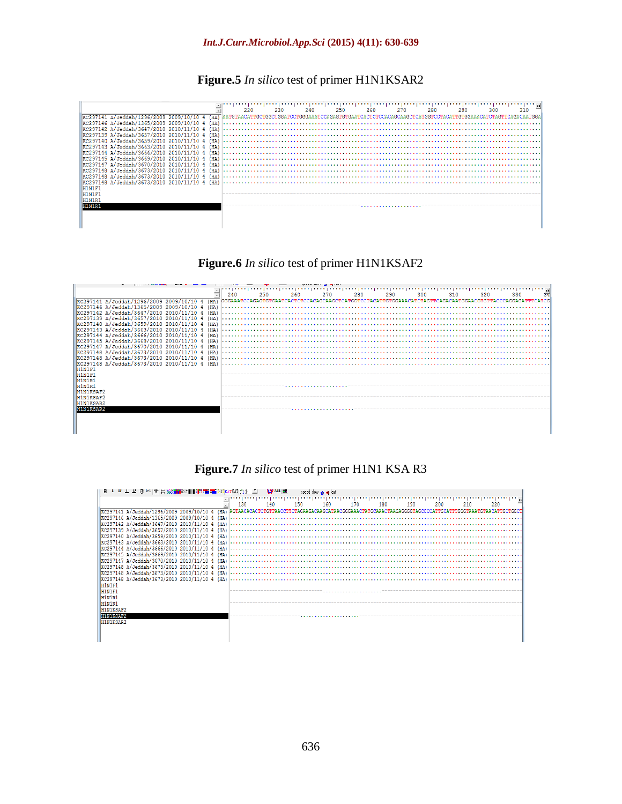#### *Int.J.Curr.Microbiol.App.Sci* **(2015) 4(11): 630-639**

#### **Figure.5** *In silico* test of primer H1N1KSAR2



#### **Figure.6** *In silico* test of primer H1N1KSAF2

|                                                               | 240<br>250 | 260<br>270 | 280<br>290 | 300<br>310 | 320<br>330 |
|---------------------------------------------------------------|------------|------------|------------|------------|------------|
|                                                               |            |            |            |            |            |
| KC297146 A/Jeddah/1365/2009 2009/10/10 4<br>(H <sub>A</sub> ) |            |            |            |            |            |
| KC297142 A/Jeddah/3647/2010 2010/11/10 4<br>(HA)              |            |            |            |            |            |
| KC297139 A/Jeddah/3657/2010 2010/11/10 4                      |            |            |            |            |            |
| KC297140 A/Jeddah/3659/2010 2010/11/10 4                      |            |            |            |            |            |
| EXC297143 A/Jeddah/3663/2010 2010/11/10<br>(H <sub>A</sub> )  |            |            |            |            |            |
| KC297144 A/Jeddah/3666/2010 2010/11/10                        |            |            |            |            |            |
| KC297145 A/Jeddah/3669/2010 2010/11/10                        |            |            |            |            |            |
| KC297147 A/Jeddah/3670/2010 2010/11/10 4<br>(HA)              |            |            |            |            |            |
| KC297148 A/Jeddah/3673/2010 2010/11/10 4<br>(HA)              |            |            |            |            |            |
| KC297148 A/Jeddah/3673/2010 2010/11/10 4<br>(HA)              |            |            |            |            |            |
| KC297148 A/Jeddah/3673/2010 2010/11/10 4 (HA)                 |            |            |            |            |            |
| H1N1F1                                                        |            |            |            |            |            |
| H1N1F1                                                        |            |            |            |            |            |
| H1N1R                                                         |            |            |            |            |            |
| H1N1R1                                                        |            |            |            |            |            |
| H1N1KSAF                                                      |            |            |            |            |            |
| H1N1KSAF2                                                     |            |            |            |            |            |
| H1N1KSAR2                                                     |            |            |            |            |            |
| <b>H1N1KSAR2</b>                                              |            |            |            |            |            |
|                                                               |            |            |            |            |            |
|                                                               |            |            |            |            |            |
|                                                               |            |            |            |            |            |
|                                                               |            |            |            |            |            |

#### **Figure.7** *In silico* test of primer H1N1 KSA R3

| <b>Her</b> XXIII   Her and The Grand CAT (AT $\left  \frac{1}{\epsilon} \right  = \frac{1}{\epsilon}$ |     | WM H |     | speed slow in a fast |     |     |     |                                                                                                          |
|-------------------------------------------------------------------------------------------------------|-----|------|-----|----------------------|-----|-----|-----|----------------------------------------------------------------------------------------------------------|
|                                                                                                       | 130 | 140  | 150 | 160                  | 180 | 190 | 200 | 220                                                                                                      |
| KC297141 A/Jeddah/1296/2009 2009/10/10 4<br>(HA)                                                      |     |      |     |                      |     |     |     | AGTAACACACTCTGTTAACCTTCTAGAAGACAAGCATAACGGGAAACTATGCAAACTAAGAGGGGTAGCCCCATTGCATTTGGGTAAATGTAACATTGCTGGCT |
| KC297146 A/Jeddah/1365/2009 2009/10/10 4<br>H <sub>A</sub>                                            |     |      |     |                      |     |     |     |                                                                                                          |
| KC297142 A/Jeddah/3647/2010 2010/11/10 4<br>(HA)                                                      |     |      |     |                      |     |     |     |                                                                                                          |
| KC297139 A/Jeddah/3657/2010 2010/11/10 <br>(HA<br>KC297140 A/Jeddah/3659/2010 2010/11/10 4<br>(HA     |     |      |     |                      |     |     |     |                                                                                                          |
| KC297143 A/Jeddah/3663/2010 2010/11/10                                                                |     |      |     |                      |     |     |     |                                                                                                          |
| KC297144 A/Jeddah/3666/2010 2010/11/10 4<br>(HA)                                                      |     |      |     |                      |     |     |     |                                                                                                          |
| KC297145 A/Jeddah/3669/2010 2010/11/10                                                                |     |      |     |                      |     |     |     |                                                                                                          |
| KC297147 A/Jeddah/3670/2010 2010/11/10                                                                |     |      |     |                      |     |     |     |                                                                                                          |
| KC297148 A/Jeddah/3673/2010 2010/11/10                                                                |     |      |     |                      |     |     |     |                                                                                                          |
| KC297148 A/Jeddah/3673/2010 2010/11/10 4<br>(HA)                                                      |     |      |     |                      |     |     |     |                                                                                                          |
| KC297148 A/Jeddah/3673/2010 2010/11/10 4                                                              |     |      |     |                      |     |     |     |                                                                                                          |
| H1N1F1<br>H1N1F1                                                                                      |     |      |     |                      |     |     |     |                                                                                                          |
| H1N1R1                                                                                                |     |      |     |                      |     |     |     |                                                                                                          |
| H1N1R1                                                                                                |     |      |     |                      |     |     |     |                                                                                                          |
| H1N1KSAF2                                                                                             |     |      |     |                      |     |     |     |                                                                                                          |
| H1N1KSAF2                                                                                             |     |      |     |                      |     |     |     |                                                                                                          |
| H1N1KSAR2                                                                                             |     |      |     |                      |     |     |     |                                                                                                          |
|                                                                                                       |     |      |     |                      |     |     |     |                                                                                                          |
|                                                                                                       |     |      |     |                      |     |     |     |                                                                                                          |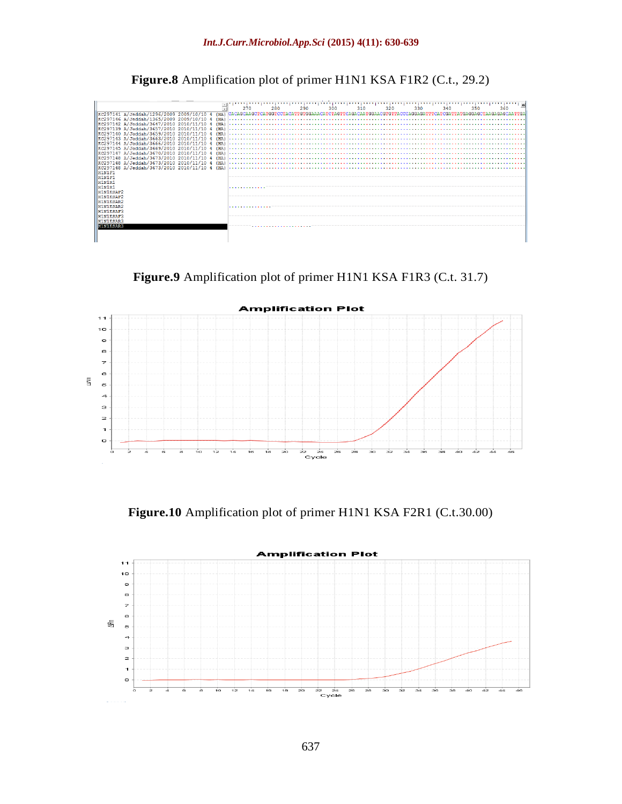**Figure.8** Amplification plot of primer H1N1 KSA F1R2 (C.t., 29.2)



**Figure.9** Amplification plot of primer H1N1 KSA F1R3 (C.t. 31.7)



**Figure.10** Amplification plot of primer H1N1 KSA F2R1 (C.t.30.00)

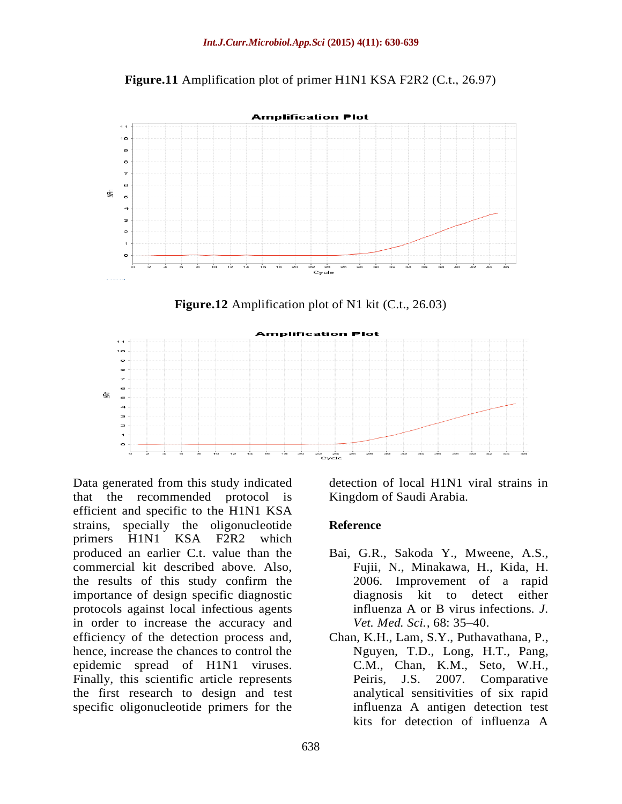**Figure.11** Amplification plot of primer H1N1 KSA F2R2 (C.t., 26.97)



**Figure.12** Amplification plot of N1 kit (C.t., 26.03)



Data generated from this study indicated that the recommended protocol is efficient and specific to the H1N1 KSA strains, specially the oligonucleotide primers H1N1 KSA F2R2 which produced an earlier C.t. value than the commercial kit described above. Also, the results of this study confirm the importance of design specific diagnostic protocols against local infectious agents in order to increase the accuracy and efficiency of the detection process and, hence, increase the chances to control the epidemic spread of H1N1 viruses. Finally, this scientific article represents the first research to design and test specific oligonucleotide primers for the

detection of local H1N1 viral strains in Kingdom of Saudi Arabia.

## **Reference**

- Bai, G.R., Sakoda Y., Mweene, A.S., Fujii, N., Minakawa, H., Kida, H. 2006. Improvement of a rapid diagnosis kit to detect either influenza A or B virus infections. *J. Vet. Med. Sci.,* 68: 35–40.
- Chan, K.H., Lam, S.Y., Puthavathana, P., Nguyen, T.D., Long, H.T., Pang, C.M., Chan, K.M., Seto, W.H., Peiris, J.S. 2007. Comparative analytical sensitivities of six rapid influenza A antigen detection test kits for detection of influenza A